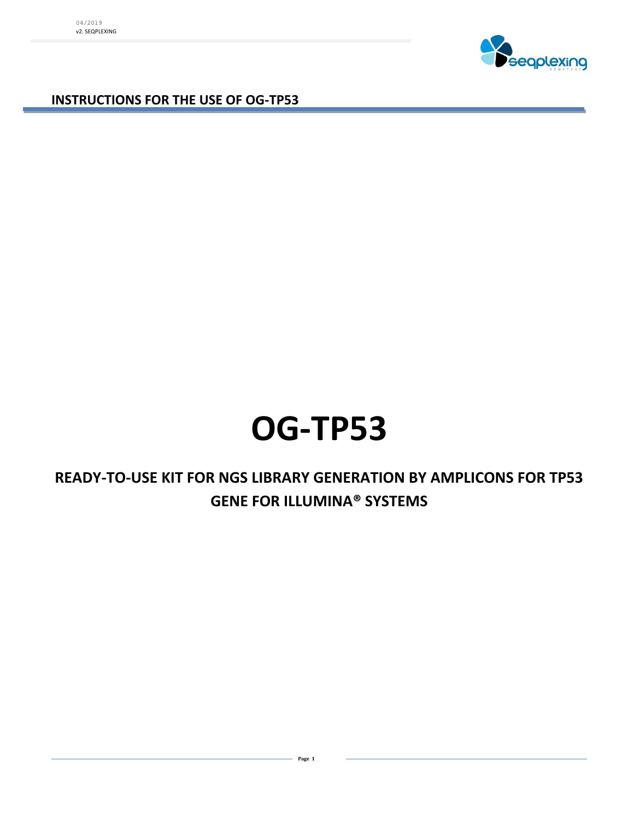

**INSTRUCTIONS FOR THE USE OF OG-TP53**

04/2019 v2. SEQPLEXING

# **OG-TP53**

### **READY-TO-USE KIT FOR NGS LIBRARY GENERATION BY AMPLICONS FOR TP53 GENE FOR ILLUMINA® SYSTEMS**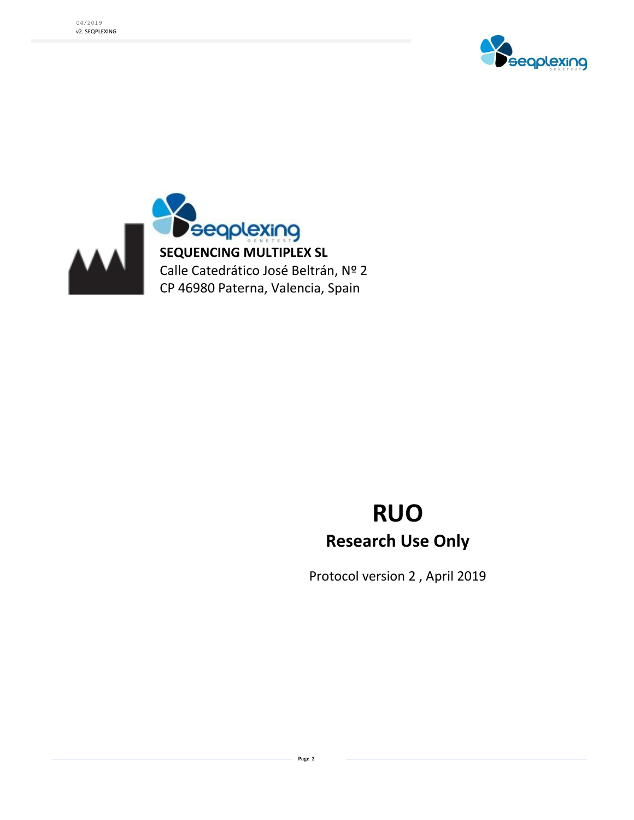



## **RUO Research Use Only**

Protocol version 2 , April 2019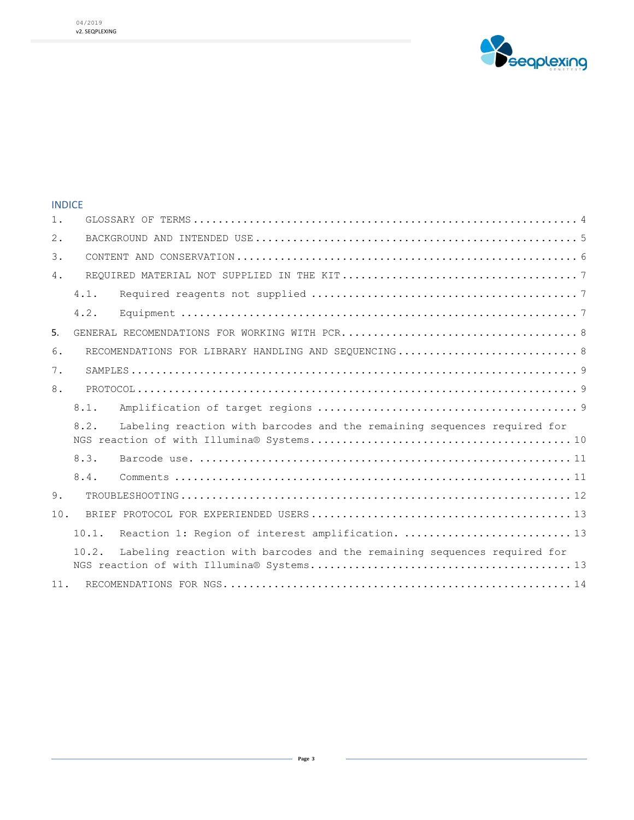

#### INDICE

| $1$ .            |                                                      |                                                                          |  |  |  |
|------------------|------------------------------------------------------|--------------------------------------------------------------------------|--|--|--|
| 2.               |                                                      |                                                                          |  |  |  |
| $\overline{3}$ . |                                                      |                                                                          |  |  |  |
| 4.               |                                                      |                                                                          |  |  |  |
|                  | 4.1.                                                 |                                                                          |  |  |  |
|                  | 4.2.                                                 |                                                                          |  |  |  |
| 5.               |                                                      |                                                                          |  |  |  |
| 6.               | RECOMENDATIONS FOR LIBRARY HANDLING AND SEQUENCING 8 |                                                                          |  |  |  |
| 7.               |                                                      |                                                                          |  |  |  |
| 8.               |                                                      |                                                                          |  |  |  |
|                  | 8.1.                                                 |                                                                          |  |  |  |
|                  | 8.2.                                                 | Labeling reaction with barcodes and the remaining sequences required for |  |  |  |
|                  | 8.3.                                                 |                                                                          |  |  |  |
|                  | 8.4.                                                 |                                                                          |  |  |  |
| 9.               |                                                      |                                                                          |  |  |  |
| 10.              |                                                      |                                                                          |  |  |  |
|                  | 10.1.                                                | Reaction 1: Region of interest amplification.  13                        |  |  |  |
|                  | 10.2.                                                | Labeling reaction with barcodes and the remaining sequences required for |  |  |  |
| 11.              |                                                      |                                                                          |  |  |  |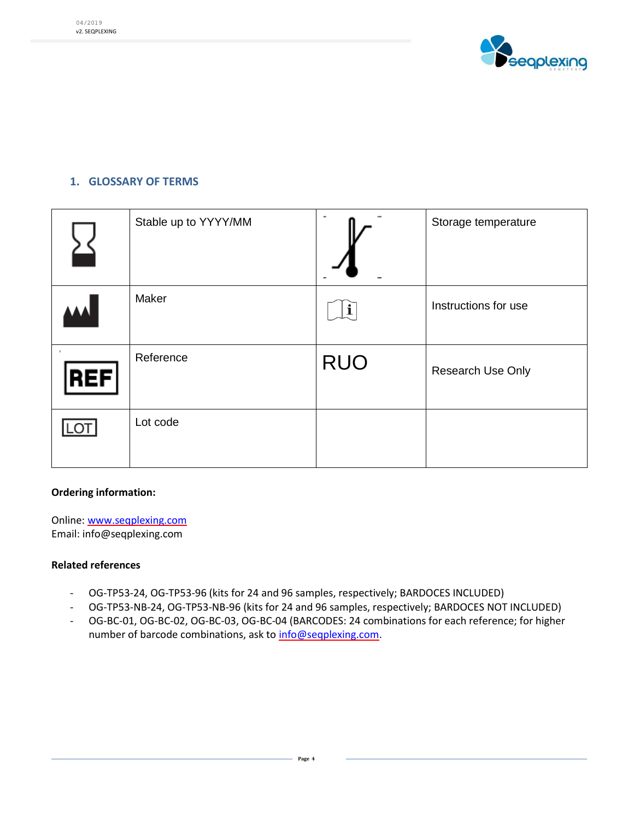

#### <span id="page-3-0"></span>**1. GLOSSARY OF TERMS**

| Stable up to YYYY/MM |             | Storage temperature  |
|----------------------|-------------|----------------------|
| Maker                | $\mathbf i$ | Instructions for use |
| Reference            | <b>RUO</b>  | Research Use Only    |
| Lot code             |             |                      |

#### **Ordering information:**

Online[: www.seqplexing.com](http://www.seqplexing.com/) Email: info@seqplexing.com

#### **Related references**

- OG-TP53-24, OG-TP53-96 (kits for 24 and 96 samples, respectively; BARDOCES INCLUDED)
- OG-TP53-NB-24, OG-TP53-NB-96 (kits for 24 and 96 samples, respectively; BARDOCES NOT INCLUDED)
- OG-BC-01, OG-BC-02, OG-BC-03, OG-BC-04 (BARCODES: 24 combinations for each reference; for higher number of barcode combinations, ask to [info@seqplexing.com.](mailto:info@seqplexing.com)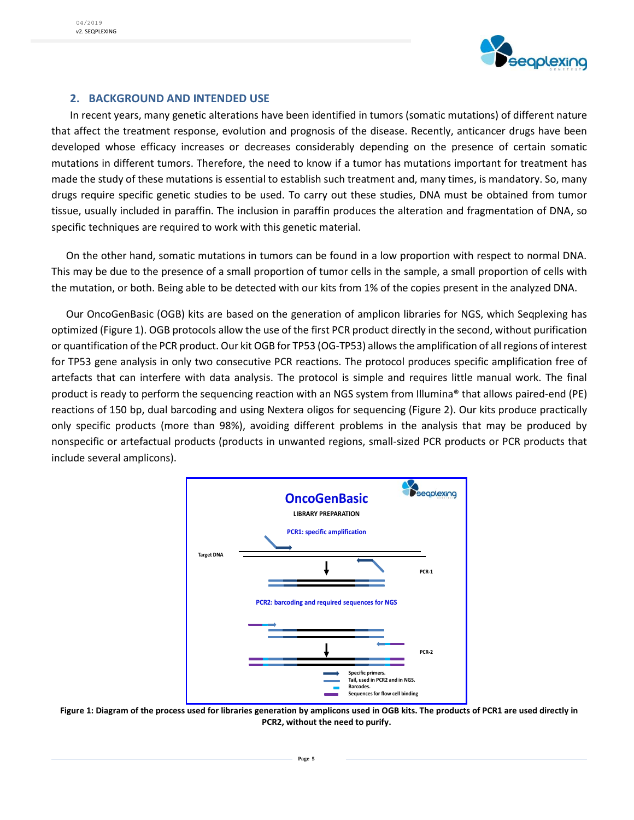

#### **2. BACKGROUND AND INTENDED USE**

<span id="page-4-0"></span>In recent years, many genetic alterations have been identified in tumors (somatic mutations) of different nature that affect the treatment response, evolution and prognosis of the disease. Recently, anticancer drugs have been developed whose efficacy increases or decreases considerably depending on the presence of certain somatic mutations in different tumors. Therefore, the need to know if a tumor has mutations important for treatment has made the study of these mutations is essential to establish such treatment and, many times, is mandatory. So, many drugs require specific genetic studies to be used. To carry out these studies, DNA must be obtained from tumor tissue, usually included in paraffin. The inclusion in paraffin produces the alteration and fragmentation of DNA, so specific techniques are required to work with this genetic material.

On the other hand, somatic mutations in tumors can be found in a low proportion with respect to normal DNA. This may be due to the presence of a small proportion of tumor cells in the sample, a small proportion of cells with the mutation, or both. Being able to be detected with our kits from 1% of the copies present in the analyzed DNA.

Our OncoGenBasic (OGB) kits are based on the generation of amplicon libraries for NGS, which Seqplexing has optimized (Figure 1). OGB protocols allow the use of the first PCR product directly in the second, without purification or quantification of the PCR product. Our kit OGB for TP53 (OG-TP53) allows the amplification of all regions of interest for TP53 gene analysis in only two consecutive PCR reactions. The protocol produces specific amplification free of artefacts that can interfere with data analysis. The protocol is simple and requires little manual work. The final product is ready to perform the sequencing reaction with an NGS system from Illumina® that allows paired-end (PE) reactions of 150 bp, dual barcoding and using Nextera oligos for sequencing (Figure 2). Our kits produce practically only specific products (more than 98%), avoiding different problems in the analysis that may be produced by nonspecific or artefactual products (products in unwanted regions, small-sized PCR products or PCR products that include several amplicons).



**Figure 1: Diagram of the process used for libraries generation by amplicons used in OGB kits. The products of PCR1 are used directly in PCR2, without the need to purify.**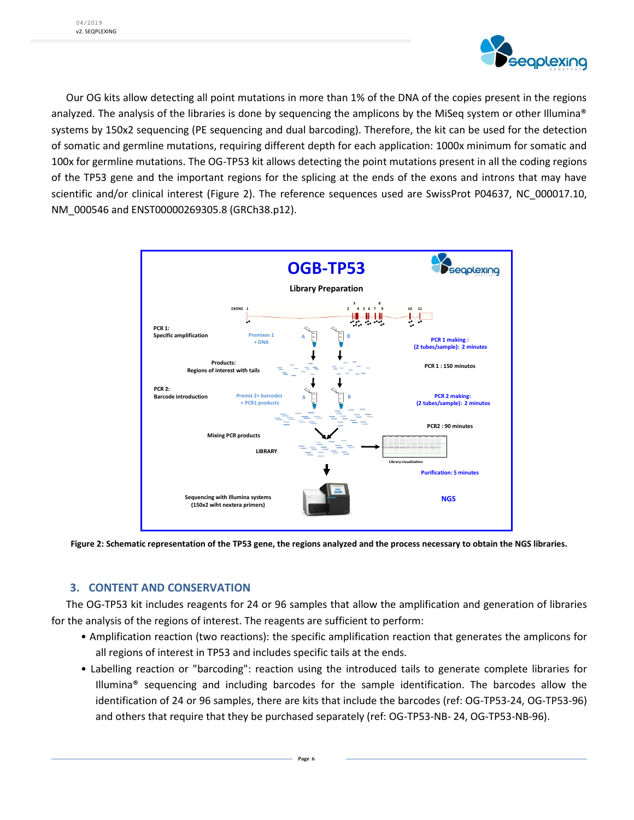

Our OG kits allow detecting all point mutations in more than 1% of the DNA of the copies present in the regions analyzed. The analysis of the libraries is done by sequencing the amplicons by the MiSeq system or other Illumina® systems by 150x2 sequencing (PE sequencing and dual barcoding). Therefore, the kit can be used for the detection of somatic and germline mutations, requiring different depth for each application: 1000x minimum for somatic and 100x for germline mutations. The OG-TP53 kit allows detecting the point mutations present in all the coding regions of the TP53 gene and the important regions for the splicing at the ends of the exons and introns that may have scientific and/or clinical interest (Figure 2). The reference sequences used are SwissProt P04637, NC\_000017.10, NM\_000546 and ENST00000269305.8 (GRCh38.p12).



<span id="page-5-0"></span>**Figure 2: Schematic representation of the TP53 gene, the regions analyzed and the process necessary to obtain the NGS libraries.** 

#### **3. CONTENT AND CONSERVATION**

The OG-TP53 kit includes reagents for 24 or 96 samples that allow the amplification and generation of libraries for the analysis of the regions of interest. The reagents are sufficient to perform:

- Amplification reaction (two reactions): the specific amplification reaction that generates the amplicons for all regions of interest in TP53 and includes specific tails at the ends.
- Labelling reaction or "barcoding": reaction using the introduced tails to generate complete libraries for Illumina® sequencing and including barcodes for the sample identification. The barcodes allow the identification of 24 or 96 samples, there are kits that include the barcodes (ref: OG-TP53-24, OG-TP53-96) and others that require that they be purchased separately (ref: OG-TP53-NB- 24, OG-TP53-NB-96).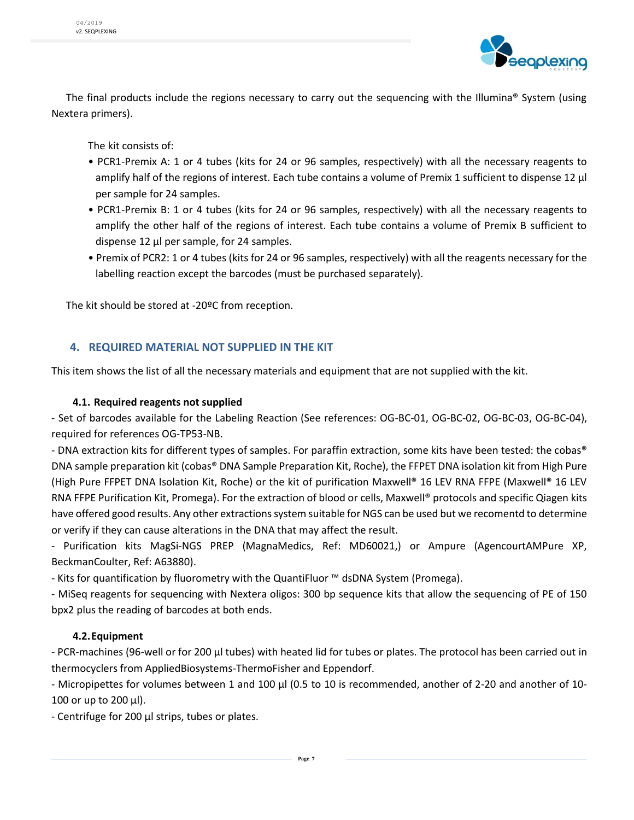

The final products include the regions necessary to carry out the sequencing with the Illumina® System (using Nextera primers).

The kit consists of:

- PCR1-Premix A: 1 or 4 tubes (kits for 24 or 96 samples, respectively) with all the necessary reagents to amplify half of the regions of interest. Each tube contains a volume of Premix 1 sufficient to dispense 12 μl per sample for 24 samples.
- PCR1-Premix B: 1 or 4 tubes (kits for 24 or 96 samples, respectively) with all the necessary reagents to amplify the other half of the regions of interest. Each tube contains a volume of Premix B sufficient to dispense 12 μl per sample, for 24 samples.
- Premix of PCR2: 1 or 4 tubes (kits for 24 or 96 samples, respectively) with all the reagents necessary for the labelling reaction except the barcodes (must be purchased separately).

The kit should be stored at -20ºC from reception.

#### <span id="page-6-0"></span>**4. REQUIRED MATERIAL NOT SUPPLIED IN THE KIT**

This item shows the list of all the necessary materials and equipment that are not supplied with the kit.

#### <span id="page-6-1"></span>**4.1. Required reagents not supplied**

- Set of barcodes available for the Labeling Reaction (See references: OG-BC-01, OG-BC-02, OG-BC-03, OG-BC-04), required for references OG-TP53-NB.

- DNA extraction kits for different types of samples. For paraffin extraction, some kits have been tested: the cobas® DNA sample preparation kit (cobas® DNA Sample Preparation Kit, Roche), the FFPET DNA isolation kit from High Pure (High Pure FFPET DNA Isolation Kit, Roche) or the kit of purification Maxwell® 16 LEV RNA FFPE (Maxwell® 16 LEV RNA FFPE Purification Kit, Promega). For the extraction of blood or cells, Maxwell® protocols and specific Qiagen kits have offered good results. Any other extractions system suitable for NGS can be used but we recomentd to determine or verify if they can cause alterations in the DNA that may affect the result.

- Purification kits MagSi-NGS PREP (MagnaMedics, Ref: MD60021,) or Ampure (AgencourtAMPure XP, BeckmanCoulter, Ref: A63880).

- Kits for quantification by fluorometry with the QuantiFluor ™ dsDNA System (Promega).

- MiSeq reagents for sequencing with Nextera oligos: 300 bp sequence kits that allow the sequencing of PE of 150 bpx2 plus the reading of barcodes at both ends.

#### <span id="page-6-2"></span>**4.2.Equipment**

- PCR-machines (96-well or for 200 µl tubes) with heated lid for tubes or plates. The protocol has been carried out in thermocyclers from AppliedBiosystems-ThermoFisher and Eppendorf.

- Micropipettes for volumes between 1 and 100 μl (0.5 to 10 is recommended, another of 2-20 and another of 10- 100 or up to 200 μl).

- Centrifuge for 200 μl strips, tubes or plates.

**Page 7**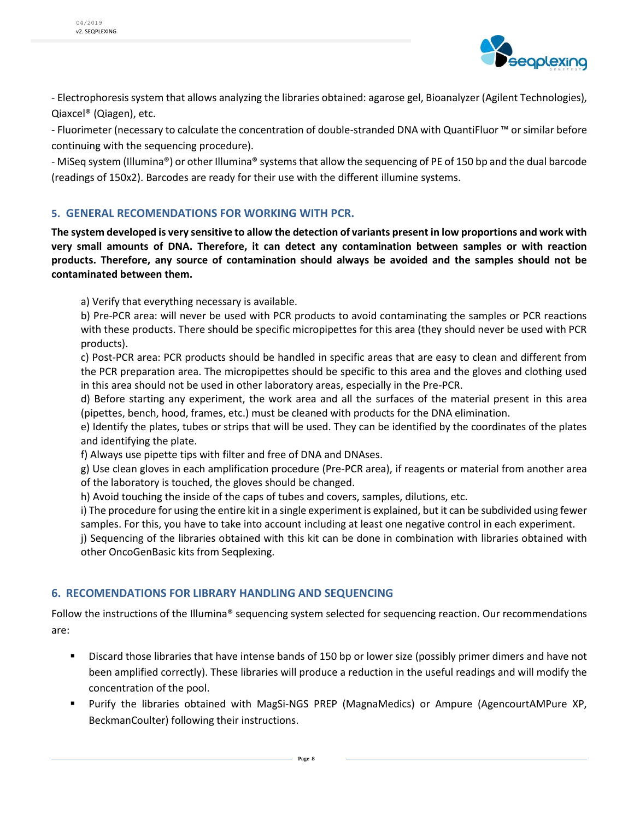

- Electrophoresis system that allows analyzing the libraries obtained: agarose gel, Bioanalyzer (Agilent Technologies), Qiaxcel® (Qiagen), etc.

- Fluorimeter (necessary to calculate the concentration of double-stranded DNA with QuantiFluor ™ or similar before continuing with the sequencing procedure).

- MiSeq system (Illumina®) or other Illumina® systems that allow the sequencing of PE of 150 bp and the dual barcode (readings of 150x2). Barcodes are ready for their use with the different illumine systems.

#### <span id="page-7-0"></span>**5. GENERAL RECOMENDATIONS FOR WORKING WITH PCR.**

**The system developed is very sensitive to allow the detection of variants present in low proportions and work with very small amounts of DNA. Therefore, it can detect any contamination between samples or with reaction products. Therefore, any source of contamination should always be avoided and the samples should not be contaminated between them.**

a) Verify that everything necessary is available.

b) Pre-PCR area: will never be used with PCR products to avoid contaminating the samples or PCR reactions with these products. There should be specific micropipettes for this area (they should never be used with PCR products).

c) Post-PCR area: PCR products should be handled in specific areas that are easy to clean and different from the PCR preparation area. The micropipettes should be specific to this area and the gloves and clothing used in this area should not be used in other laboratory areas, especially in the Pre-PCR.

d) Before starting any experiment, the work area and all the surfaces of the material present in this area (pipettes, bench, hood, frames, etc.) must be cleaned with products for the DNA elimination.

e) Identify the plates, tubes or strips that will be used. They can be identified by the coordinates of the plates and identifying the plate.

f) Always use pipette tips with filter and free of DNA and DNAses.

g) Use clean gloves in each amplification procedure (Pre-PCR area), if reagents or material from another area of the laboratory is touched, the gloves should be changed.

h) Avoid touching the inside of the caps of tubes and covers, samples, dilutions, etc.

i) The procedure for using the entire kit in a single experiment is explained, but it can be subdivided using fewer samples. For this, you have to take into account including at least one negative control in each experiment.

j) Sequencing of the libraries obtained with this kit can be done in combination with libraries obtained with other OncoGenBasic kits from Seqplexing.

#### <span id="page-7-1"></span>**6. RECOMENDATIONS FOR LIBRARY HANDLING AND SEQUENCING**

Follow the instructions of the Illumina® sequencing system selected for sequencing reaction. Our recommendations are:

- **Discard those libraries that have intense bands of 150 bp or lower size (possibly primer dimers and have not** been amplified correctly). These libraries will produce a reduction in the useful readings and will modify the concentration of the pool.
- Purify the libraries obtained with MagSi-NGS PREP (MagnaMedics) or Ampure (AgencourtAMPure XP, BeckmanCoulter) following their instructions.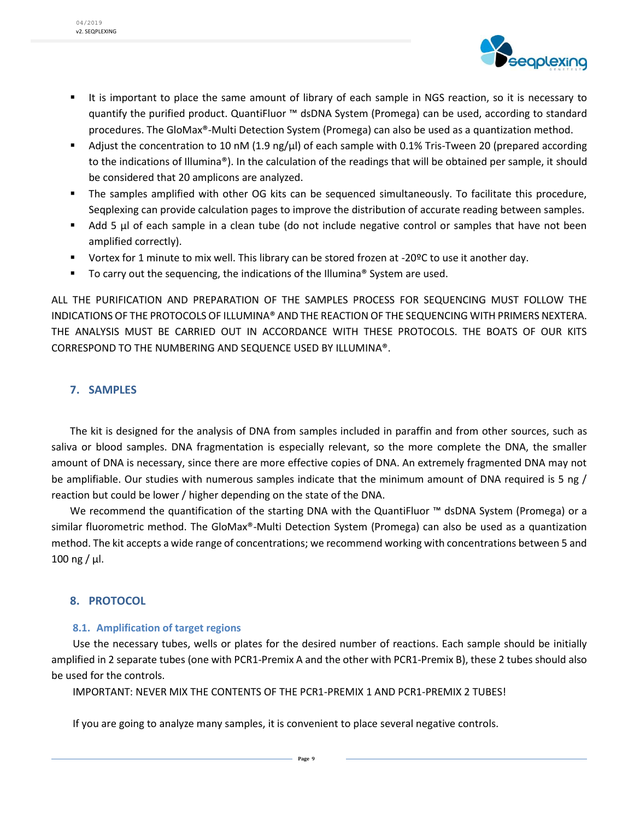

- It is important to place the same amount of library of each sample in NGS reaction, so it is necessary to quantify the purified product. QuantiFluor ™ dsDNA System (Promega) can be used, according to standard procedures. The GloMax®-Multi Detection System (Promega) can also be used as a quantization method.
- Adjust the concentration to 10 nM (1.9 ng/ $\mu$ ) of each sample with 0.1% Tris-Tween 20 (prepared according to the indications of Illumina®). In the calculation of the readings that will be obtained per sample, it should be considered that 20 amplicons are analyzed.
- The samples amplified with other OG kits can be sequenced simultaneously. To facilitate this procedure, Seqplexing can provide calculation pages to improve the distribution of accurate reading between samples.
- Add 5 µl of each sample in a clean tube (do not include negative control or samples that have not been amplified correctly).
- Vortex for 1 minute to mix well. This library can be stored frozen at -20ºC to use it another day.
- To carry out the sequencing, the indications of the Illumina® System are used.

ALL THE PURIFICATION AND PREPARATION OF THE SAMPLES PROCESS FOR SEQUENCING MUST FOLLOW THE INDICATIONS OF THE PROTOCOLS OF ILLUMINA® AND THE REACTION OF THE SEQUENCING WITH PRIMERS NEXTERA. THE ANALYSIS MUST BE CARRIED OUT IN ACCORDANCE WITH THESE PROTOCOLS. THE BOATS OF OUR KITS CORRESPOND TO THE NUMBERING AND SEQUENCE USED BY ILLUMINA®.

#### <span id="page-8-0"></span>**7. SAMPLES**

The kit is designed for the analysis of DNA from samples included in paraffin and from other sources, such as saliva or blood samples. DNA fragmentation is especially relevant, so the more complete the DNA, the smaller amount of DNA is necessary, since there are more effective copies of DNA. An extremely fragmented DNA may not be amplifiable. Our studies with numerous samples indicate that the minimum amount of DNA required is 5 ng / reaction but could be lower / higher depending on the state of the DNA.

We recommend the quantification of the starting DNA with the QuantiFluor ™ dsDNA System (Promega) or a similar fluorometric method. The GloMax®-Multi Detection System (Promega) can also be used as a quantization method. The kit accepts a wide range of concentrations; we recommend working with concentrations between 5 and 100 ng / μl.

#### <span id="page-8-1"></span>**8. PROTOCOL**

#### <span id="page-8-2"></span>**8.1. Amplification of target regions**

Use the necessary tubes, wells or plates for the desired number of reactions. Each sample should be initially amplified in 2 separate tubes (one with PCR1-Premix A and the other with PCR1-Premix B), these 2 tubes should also be used for the controls.

IMPORTANT: NEVER MIX THE CONTENTS OF THE PCR1-PREMIX 1 AND PCR1-PREMIX 2 TUBES!

If you are going to analyze many samples, it is convenient to place several negative controls.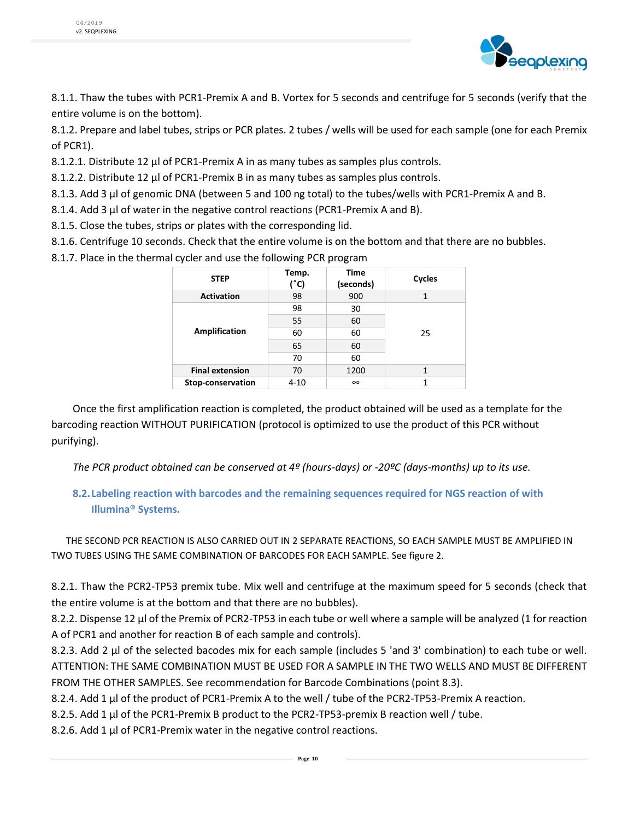

8.1.1. Thaw the tubes with PCR1-Premix A and B. Vortex for 5 seconds and centrifuge for 5 seconds (verify that the entire volume is on the bottom).

8.1.2. Prepare and label tubes, strips or PCR plates. 2 tubes / wells will be used for each sample (one for each Premix of PCR1).

8.1.2.1. Distribute 12 μl of PCR1-Premix A in as many tubes as samples plus controls.

8.1.2.2. Distribute 12 μl of PCR1-Premix B in as many tubes as samples plus controls.

8.1.3. Add 3 μl of genomic DNA (between 5 and 100 ng total) to the tubes/wells with PCR1-Premix A and B.

8.1.4. Add 3 μl of water in the negative control reactions (PCR1-Premix A and B).

8.1.5. Close the tubes, strips or plates with the corresponding lid.

8.1.6. Centrifuge 10 seconds. Check that the entire volume is on the bottom and that there are no bubbles.

8.1.7. Place in the thermal cycler and use the following PCR program

| <b>STEP</b>            | Temp.<br>(°c) | <b>Time</b><br>(seconds) | Cycles |
|------------------------|---------------|--------------------------|--------|
| <b>Activation</b>      | 98            | 900                      | 1      |
|                        | 98            | 30                       |        |
|                        | 55            | 60                       |        |
| Amplification          | 60            | 60                       | 25     |
|                        | 65            | 60                       |        |
|                        | 70            | 60                       |        |
| <b>Final extension</b> | 70            | 1200                     | 1      |
| Stop-conservation      | $4 - 10$      | $\infty$                 | 1      |

Once the first amplification reaction is completed, the product obtained will be used as a template for the barcoding reaction WITHOUT PURIFICATION (protocol is optimized to use the product of this PCR without purifying).

*The PCR product obtained can be conserved at 4º (hours-days) or -20ºC (days-months) up to its use.*

#### <span id="page-9-0"></span>**8.2.Labeling reaction with barcodes and the remaining sequences required for NGS reaction of with Illumina® Systems.**

THE SECOND PCR REACTION IS ALSO CARRIED OUT IN 2 SEPARATE REACTIONS, SO EACH SAMPLE MUST BE AMPLIFIED IN TWO TUBES USING THE SAME COMBINATION OF BARCODES FOR EACH SAMPLE. See figure 2.

8.2.1. Thaw the PCR2-TP53 premix tube. Mix well and centrifuge at the maximum speed for 5 seconds (check that the entire volume is at the bottom and that there are no bubbles).

8.2.2. Dispense 12 μl of the Premix of PCR2-TP53 in each tube or well where a sample will be analyzed (1 for reaction A of PCR1 and another for reaction B of each sample and controls).

8.2.3. Add 2 μl of the selected bacodes mix for each sample (includes 5 'and 3' combination) to each tube or well. ATTENTION: THE SAME COMBINATION MUST BE USED FOR A SAMPLE IN THE TWO WELLS AND MUST BE DIFFERENT FROM THE OTHER SAMPLES. See recommendation for Barcode Combinations (point 8.3).

8.2.4. Add 1 μl of the product of PCR1-Premix A to the well / tube of the PCR2-TP53-Premix A reaction.

8.2.5. Add 1 μl of the PCR1-Premix B product to the PCR2-TP53-premix B reaction well / tube.

8.2.6. Add 1 μl of PCR1-Premix water in the negative control reactions.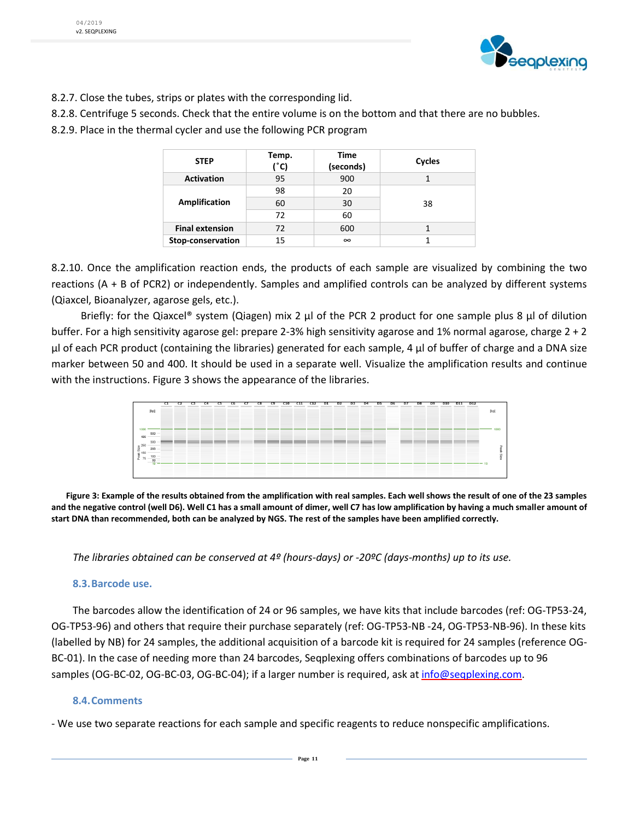

- 8.2.7. Close the tubes, strips or plates with the corresponding lid.
- 8.2.8. Centrifuge 5 seconds. Check that the entire volume is on the bottom and that there are no bubbles.
- 8.2.9. Place in the thermal cycler and use the following PCR program

| <b>STEP</b>            | Temp.<br>(°C) | Time<br>(seconds) | Cycles |
|------------------------|---------------|-------------------|--------|
| <b>Activation</b>      | 95            | 900               |        |
|                        | 98            | 20                | 38     |
| Amplification          | 60            | 30                |        |
|                        | 72            | 60                |        |
| <b>Final extension</b> | 72            | 600               |        |
| Stop-conservation      | 15            | $\infty$          |        |

8.2.10. Once the amplification reaction ends, the products of each sample are visualized by combining the two reactions (A + B of PCR2) or independently. Samples and amplified controls can be analyzed by different systems (Qiaxcel, Bioanalyzer, agarose gels, etc.).

Briefly: for the Qiaxcel® system (Qiagen) mix 2 μl of the PCR 2 product for one sample plus 8 μl of dilution buffer. For a high sensitivity agarose gel: prepare 2-3% high sensitivity agarose and 1% normal agarose, charge 2 + 2 μl of each PCR product (containing the libraries) generated for each sample, 4 μl of buffer of charge and a DNA size marker between 50 and 400. It should be used in a separate well. Visualize the amplification results and continue with the instructions. Figure 3 shows the appearance of the libraries.



**Figure 3: Example of the results obtained from the amplification with real samples. Each well shows the result of one of the 23 samples and the negative control (well D6). Well C1 has a small amount of dimer, well C7 has low amplification by having a much smaller amount of start DNA than recommended, both can be analyzed by NGS. The rest of the samples have been amplified correctly.**

*The libraries obtained can be conserved at 4º (hours-days) or -20ºC (days-months) up to its use.*

#### <span id="page-10-0"></span>**8.3.Barcode use.**

The barcodes allow the identification of 24 or 96 samples, we have kits that include barcodes (ref: OG-TP53-24, OG-TP53-96) and others that require their purchase separately (ref: OG-TP53-NB -24, OG-TP53-NB-96). In these kits (labelled by NB) for 24 samples, the additional acquisition of a barcode kit is required for 24 samples (reference OG-BC-01). In the case of needing more than 24 barcodes, Seqplexing offers combinations of barcodes up to 96 samples (OG-BC-02, OG-BC-03, OG-BC-04); if a larger number is required, ask at [info@seqplexing.com.](mailto:info@seqplexing.com)

#### <span id="page-10-1"></span>**8.4.Comments**

- We use two separate reactions for each sample and specific reagents to reduce nonspecific amplifications.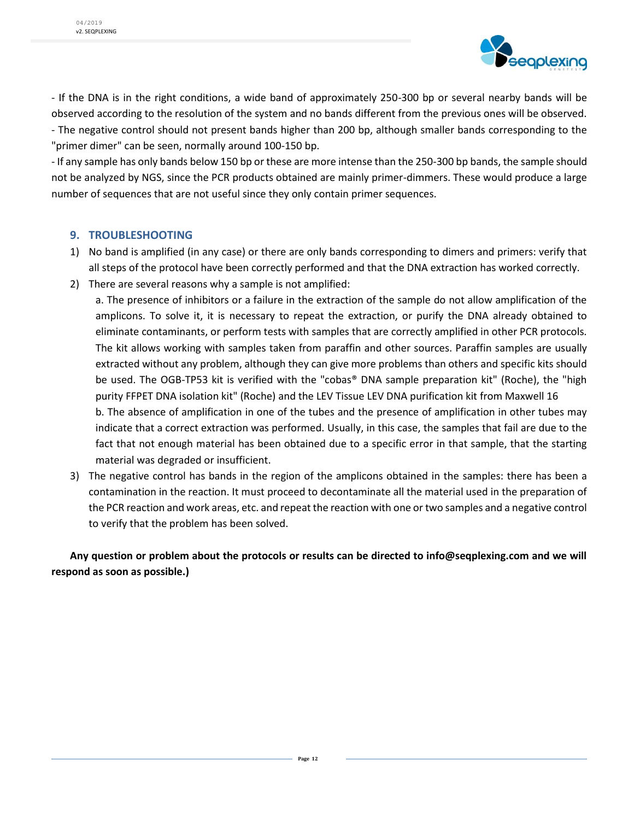

- If the DNA is in the right conditions, a wide band of approximately 250-300 bp or several nearby bands will be observed according to the resolution of the system and no bands different from the previous ones will be observed. - The negative control should not present bands higher than 200 bp, although smaller bands corresponding to the "primer dimer" can be seen, normally around 100-150 bp.

- If any sample has only bands below 150 bp or these are more intense than the 250-300 bp bands, the sample should not be analyzed by NGS, since the PCR products obtained are mainly primer-dimmers. These would produce a large number of sequences that are not useful since they only contain primer sequences.

#### <span id="page-11-0"></span>**9. TROUBLESHOOTING**

- 1) No band is amplified (in any case) or there are only bands corresponding to dimers and primers: verify that all steps of the protocol have been correctly performed and that the DNA extraction has worked correctly.
- 2) There are several reasons why a sample is not amplified:
	- a. The presence of inhibitors or a failure in the extraction of the sample do not allow amplification of the amplicons. To solve it, it is necessary to repeat the extraction, or purify the DNA already obtained to eliminate contaminants, or perform tests with samples that are correctly amplified in other PCR protocols. The kit allows working with samples taken from paraffin and other sources. Paraffin samples are usually extracted without any problem, although they can give more problems than others and specific kits should be used. The OGB-TP53 kit is verified with the "cobas® DNA sample preparation kit" (Roche), the "high purity FFPET DNA isolation kit" (Roche) and the LEV Tissue LEV DNA purification kit from Maxwell 16 b. The absence of amplification in one of the tubes and the presence of amplification in other tubes may indicate that a correct extraction was performed. Usually, in this case, the samples that fail are due to the fact that not enough material has been obtained due to a specific error in that sample, that the starting material was degraded or insufficient.
- 3) The negative control has bands in the region of the amplicons obtained in the samples: there has been a contamination in the reaction. It must proceed to decontaminate all the material used in the preparation of the PCR reaction and work areas, etc. and repeat the reaction with one or two samples and a negative control to verify that the problem has been solved.

**Any question or problem about the protocols or results can be directed to info@seqplexing.com and we will respond as soon as possible.)**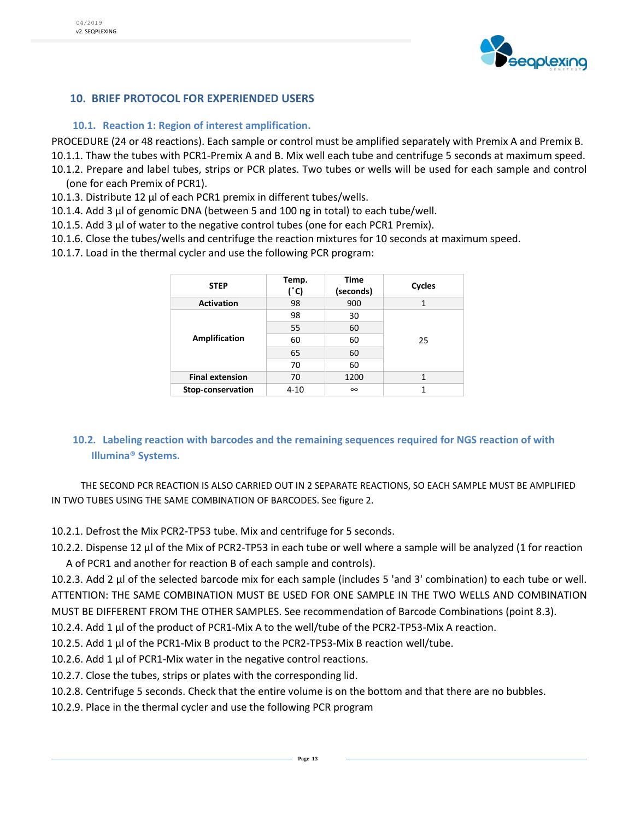

#### <span id="page-12-0"></span>**10. BRIEF PROTOCOL FOR EXPERIENDED USERS**

#### <span id="page-12-1"></span>**10.1. Reaction 1: Region of interest amplification.**

PROCEDURE (24 or 48 reactions). Each sample or control must be amplified separately with Premix A and Premix B. 10.1.1. Thaw the tubes with PCR1-Premix A and B. Mix well each tube and centrifuge 5 seconds at maximum speed.

- 10.1.2. Prepare and label tubes, strips or PCR plates. Two tubes or wells will be used for each sample and control (one for each Premix of PCR1).
- 10.1.3. Distribute 12 μl of each PCR1 premix in different tubes/wells.
- 10.1.4. Add 3 μl of genomic DNA (between 5 and 100 ng in total) to each tube/well.
- 10.1.5. Add 3 μl of water to the negative control tubes (one for each PCR1 Premix).
- 10.1.6. Close the tubes/wells and centrifuge the reaction mixtures for 10 seconds at maximum speed.
- 10.1.7. Load in the thermal cycler and use the following PCR program:

| <b>STEP</b>            | Temp.<br>(°C) | Time<br>(seconds) | Cycles |
|------------------------|---------------|-------------------|--------|
| <b>Activation</b>      | 98            | 900               | 1      |
|                        | 98            | 30                |        |
|                        | 55            | 60                |        |
| Amplification          | 60            | 60                | 25     |
|                        | 65            | 60                |        |
|                        | 70            | 60                |        |
| <b>Final extension</b> | 70            | 1200              | 1      |
| Stop-conservation      | $4 - 10$      | $\infty$          |        |

#### <span id="page-12-2"></span>**10.2. Labeling reaction with barcodes and the remaining sequences required for NGS reaction of with Illumina® Systems.**

THE SECOND PCR REACTION IS ALSO CARRIED OUT IN 2 SEPARATE REACTIONS, SO EACH SAMPLE MUST BE AMPLIFIED IN TWO TUBES USING THE SAME COMBINATION OF BARCODES. See figure 2.

- 10.2.1. Defrost the Mix PCR2-TP53 tube. Mix and centrifuge for 5 seconds.
- 10.2.2. Dispense 12 μl of the Mix of PCR2-TP53 in each tube or well where a sample will be analyzed (1 for reaction A of PCR1 and another for reaction B of each sample and controls).
- 10.2.3. Add 2 μl of the selected barcode mix for each sample (includes 5 'and 3' combination) to each tube or well. ATTENTION: THE SAME COMBINATION MUST BE USED FOR ONE SAMPLE IN THE TWO WELLS AND COMBINATION MUST BE DIFFERENT FROM THE OTHER SAMPLES. See recommendation of Barcode Combinations (point 8.3).
- 10.2.4. Add 1 μl of the product of PCR1-Mix A to the well/tube of the PCR2-TP53-Mix A reaction.
- 10.2.5. Add 1 μl of the PCR1-Mix B product to the PCR2-TP53-Mix B reaction well/tube.
- 10.2.6. Add 1 μl of PCR1-Mix water in the negative control reactions.
- 10.2.7. Close the tubes, strips or plates with the corresponding lid.
- 10.2.8. Centrifuge 5 seconds. Check that the entire volume is on the bottom and that there are no bubbles.
- 10.2.9. Place in the thermal cycler and use the following PCR program